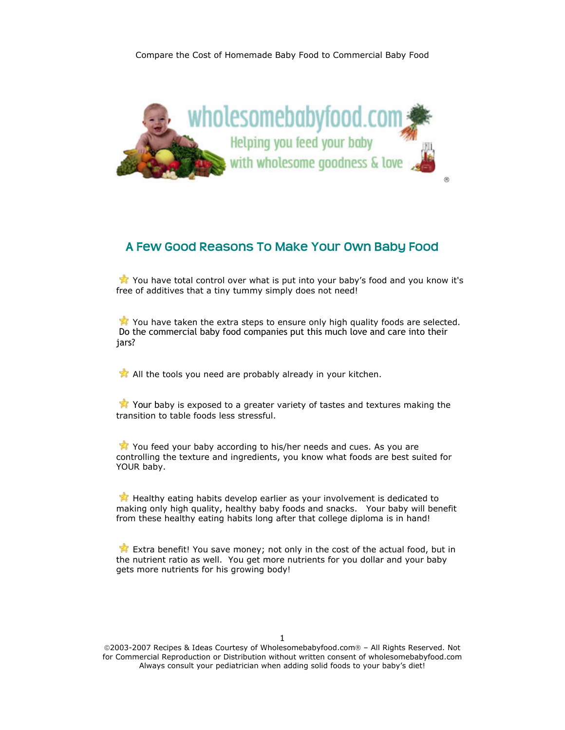

## **A Few Good Reasons To Make Your Own Baby Food**

You have total control over what is put into your baby's food and you know it's free of additives that a tiny tummy simply does not need!

You have taken the extra steps to ensure only high quality foods are selected. Do the commercial baby food companies put this much love and care into their jars?

All the tools you need are probably already in your kitchen.

Your baby is exposed to a greater variety of tastes and textures making the transition to table foods less stressful.

You feed your baby according to his/her needs and cues. As you are controlling the texture and ingredients, you know what foods are best suited for YOUR baby.

Healthy eating habits develop earlier as your involvement is dedicated to making only high quality, healthy baby foods and snacks. Your baby will benefit from these healthy eating habits long after that college diploma is in hand!

Extra benefit! You save money; not only in the cost of the actual food, but in the nutrient ratio as well. You get more nutrients for you dollar and your baby gets more nutrients for his growing body!

1

©2003-2007 Recipes & Ideas Courtesy of Wholesomebabyfood.com® – All Rights Reserved. Not for Commercial Reproduction or Distribution without written consent of wholesomebabyfood.com Always consult your pediatrician when adding solid foods to your baby's diet!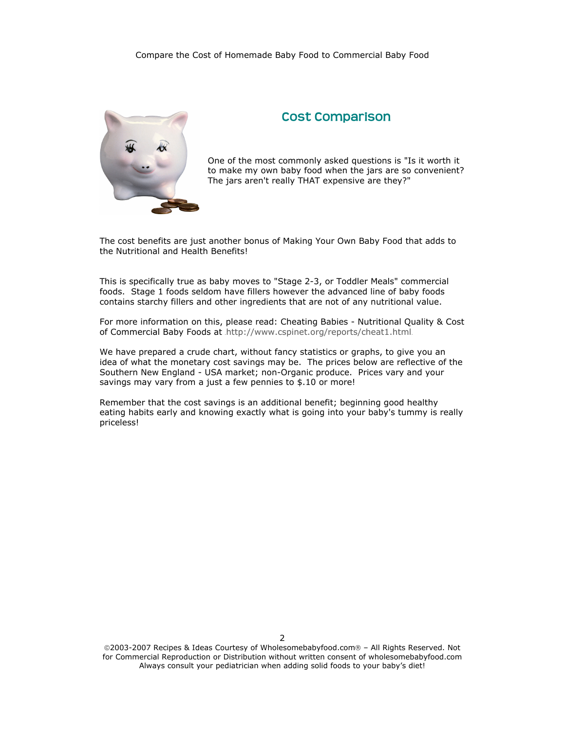

## **Cost Comparison**

One of the most commonly asked questions is "Is it worth it to make my own baby food when the jars are so c onvenient? The jars aren't really THAT expensive are they?"

The cost benefits are just another bonus of Making Your Own Baby Food that adds to the Nutritional and Health Benefits!

This is specifically true as baby moves to "Stage 2-3, or Toddler Meals" commercial foods. Stage 1 foods seldom have fillers however the advanced line of baby foods contains starchy fillers and other ingredients that are not of any nutritional value.

For more information on this, please read: Cheating Babies - Nutritional Quality & Cost of Commercial Baby Foods at http://www.cspinet.org/reports/cheat1.html

We have prepared a crude chart, without fancy statistics or graphs, to give you an idea of what the monetary cost savings may be. The prices below are reflective of the Southern New England - USA market; non-Organic produce. Prices vary and your savings may vary from a just a few pennies to \$.10 or more!

Remember that the cost savings is an additional benefit; beginning good healthy eating habits early and knowing exactly what is going into your baby's tummy is really priceless!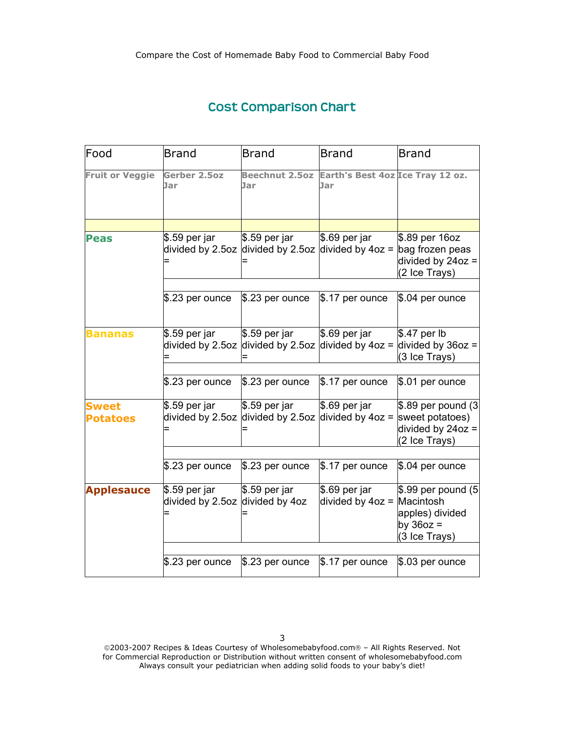## **Cost Comparison Chart**

| Food                            | <b>Brand</b>                                     | <b>Brand</b>                                          | <b>Brand</b>                                                                           | <b>Brand</b>                                                                              |
|---------------------------------|--------------------------------------------------|-------------------------------------------------------|----------------------------------------------------------------------------------------|-------------------------------------------------------------------------------------------|
| <b>Fruit or Veggie</b>          | Gerber 2.5oz<br>Jar                              | <b>Beechnut 2.5oz</b><br>Jar                          | Earth's Best 4oz Ice Tray 12 oz.<br>Jar                                                |                                                                                           |
|                                 |                                                  |                                                       |                                                                                        |                                                                                           |
| <b>Peas</b>                     | \$.59 per jar                                    | $$.59$ per jar                                        | \$.69 per jar<br>divided by 2.5oz divided by 2.5oz divided by 4oz = $\log$ frozen peas | \$.89 per 16oz<br>divided by $24oz =$<br>(2 Ice Trays)                                    |
|                                 | \$.23 per ounce                                  | $$.23$ per ounce                                      | $$.17$ per ounce                                                                       | $$.04$ per ounce                                                                          |
| <b>Bananas</b>                  | \$.59 per jar<br>divided by 2.5oz                | $$.59$ per jar                                        | $$.69$ per jar                                                                         | $$.47$ per lb<br>divided by 2.5oz divided by $4oz =$ divided by $36oz =$<br>(3 Ice Trays) |
|                                 | \$.23 per ounce                                  | $$.23$ per ounce                                      | $$.17$ per ounce                                                                       | $$.01$ per ounce                                                                          |
| <b>Sweet</b><br><b>Potatoes</b> | \$.59 per jar<br>divided by 2.5oz                | $$.59$ per jar<br>divided by 2.5oz divided by $4oz =$ | $$.69$ per jar                                                                         | $$.89$ per pound $(3)$<br>sweet potatoes)<br>divided by $24oz =$<br>(2 Ice Trays)         |
|                                 | $$.23$ per ounce                                 | $$.23$ per ounce                                      | $$.17$ per ounce                                                                       | $$.04$ per ounce                                                                          |
| <b>Applesauce</b>               | \$.59 per jar<br>divided by 2.5oz divided by 4oz | $$.59$ per jar                                        | $$.69$ per jar<br>divided by $4oz =$ Macintosh                                         | $$.99$ per pound $(5)$<br>apples) divided<br>by $36oz =$<br>(3 Ice Trays)                 |
|                                 | \$.23 per ounce                                  | $$.23$ per ounce                                      | $$.17$ per ounce                                                                       | $$.03$ per ounce                                                                          |
|                                 |                                                  |                                                       |                                                                                        |                                                                                           |

©2003-2007 Recipes & Ideas Courtesy of Wholesomebabyfood.com® – All Rights Reserved. Not for Commercial Reproduction or Distribution without written consent of wholesomebabyfood.com Always consult your pediatrician when adding solid foods to your baby's diet!